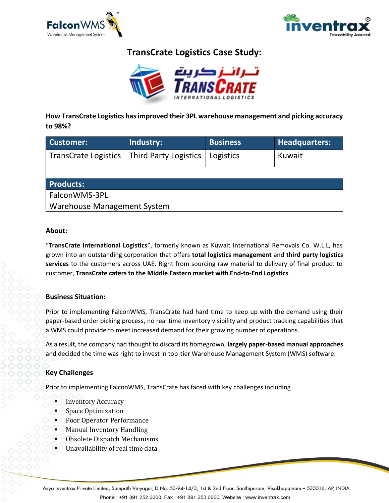



# **TransCrate Logistics Case Study:**



**How TransCrate Logistics has improved their 3PL warehouse management and picking accuracy to 98%?**

| <b>Customer:</b>            | Industry:                    | <b>Business</b> | <b>Headquarters:</b> |
|-----------------------------|------------------------------|-----------------|----------------------|
| <b>TransCrate Logistics</b> | <b>Third Party Logistics</b> | Logistics       | Kuwait               |
|                             |                              |                 |                      |
| <b>Products:</b>            |                              |                 |                      |
| FalconWMS-3PL               |                              |                 |                      |
| Warehouse Management System |                              |                 |                      |

#### **About:**

"**TransCrate International Logistics**", formerly known as Kuwait International Removals Co. W.L.L, has grown into an outstanding corporation that offers **total logistics management** and **third party logistics services** to the customers across UAE. Right from sourcing raw material to delivery of final product to customer, **TransCrate caters to the Middle Eastern market with End-to-End Logistics**.

## **Business Situation:**

Prior to implementing FalconWMS, TransCrate had hard time to keep up with the demand using their paper-based order picking process, no real time inventory visibility and product tracking capabilities that a WMS could provide to meet increased demand for their growing number of operations.

As a result, the company had thought to discard its homegrown, **largely paper-based manual approaches** and decided the time was right to invest in top-tier Warehouse Management System (WMS) software.

## **Key Challenges**

Prior to implementing FalconWMS, TransCrate has faced with key challenges including

- **Inventory Accuracy**
- **Space Optimization**
- Poor Operator Performance
- **Manual Inventory Handling**
- Obsolete Dispatch Mechanisms
- Unavailability of real time data

Avya Inventrax Private Limited, Sampath Vinyagur, D.No. 50-94-14/3, 1st & 2nd Floor, Santhipuram, Visakhapatnam - 530016, AP, INDIA Phone: +91 891 252 6060, Fax: +91 891 253 6060. Website: www.inventrax.com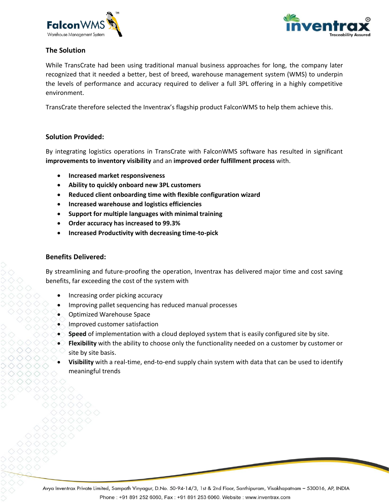



## **The Solution**

While TransCrate had been using traditional manual business approaches for long, the company later recognized that it needed a better, best of breed, warehouse management system (WMS) to underpin the levels of performance and accuracy required to deliver a full 3PL offering in a highly competitive environment.

TransCrate therefore selected the Inventrax's flagship product FalconWMS to help them achieve this.

#### **Solution Provided:**

By integrating logistics operations in TransCrate with FalconWMS software has resulted in significant **improvements to inventory visibility** and an **improved order fulfillment process** with.

- **Increased market responsiveness**
- **Ability to quickly onboard new 3PL customers**
- **Reduced client onboarding time with flexible configuration wizard**
- **Increased warehouse and logistics efficiencies**
- **Support for multiple languages with minimal training**
- **Order accuracy has increased to 99.3%**
- **Increased Productivity with decreasing time-to-pick**

#### **Benefits Delivered:**

By streamlining and future-proofing the operation, Inventrax has delivered major time and cost saving benefits, far exceeding the cost of the system with

- Increasing order picking accuracy
- Improving pallet sequencing has reduced manual processes
- Optimized Warehouse Space
- Improved customer satisfaction
- **Speed** of implementation with a cloud deployed system that is easily configured site by site.
- **Flexibility** with the ability to choose only the functionality needed on a customer by customer or site by site basis.
- **Visibility** with a real-time, end-to-end supply chain system with data that can be used to identify meaningful trends